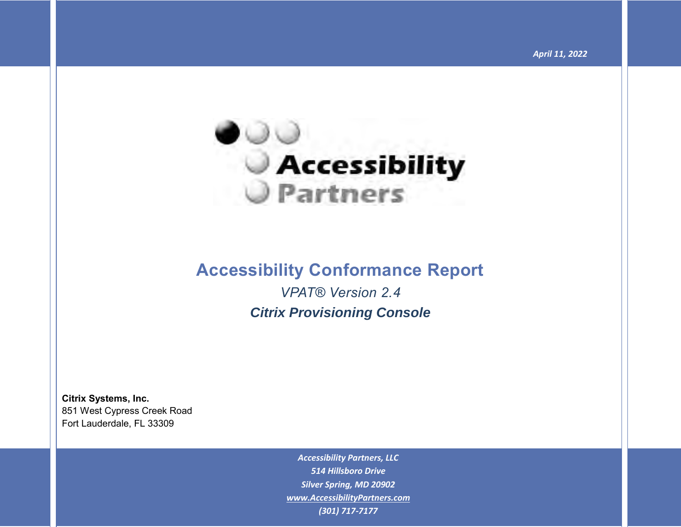

# **Accessibility Conformance Report**

*VPAT® Version 2.4 Citrix Provisioning Console*

**Citrix Systems, Inc.** 851 West Cypress Creek Road Fort Lauderdale, FL 33309

> *Accessibility Partners, LLC 514 Hillsboro Drive Silver Spring, MD 20902 [www.AccessibilityPartners.com](http://www.accessibilitypartners.com/) (301) 717-7177*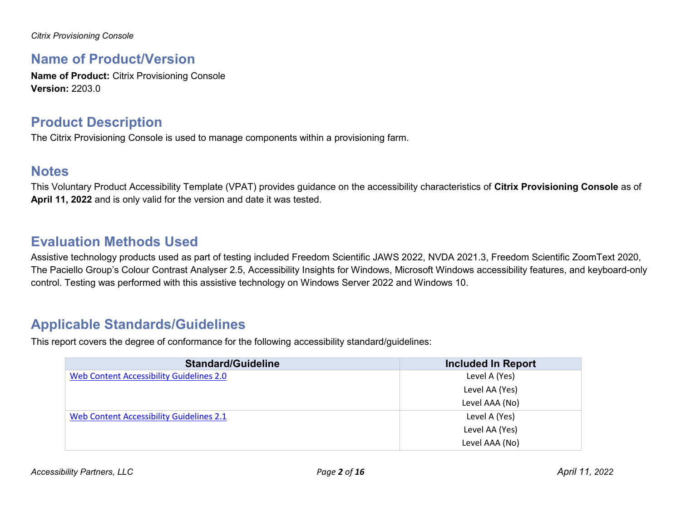*Citrix Provisioning Console*

#### **Name of Product/Version**

**Name of Product:** Citrix Provisioning Console **Version:** 2203.0

### **Product Description**

The Citrix Provisioning Console is used to manage components within a provisioning farm.

#### **Notes**

This Voluntary Product Accessibility Template (VPAT) provides guidance on the accessibility characteristics of **Citrix Provisioning Console** as of **April 11, 2022** and is only valid for the version and date it was tested.

# **Evaluation Methods Used**

Assistive technology products used as part of testing included Freedom Scientific JAWS 2022, NVDA 2021.3, Freedom Scientific ZoomText 2020, The Paciello Group's Colour Contrast Analyser 2.5, Accessibility Insights for Windows, Microsoft Windows accessibility features, and keyboard-only control. Testing was performed with this assistive technology on Windows Server 2022 and Windows 10.

## **Applicable Standards/Guidelines**

This report covers the degree of conformance for the following accessibility standard/guidelines:

| <b>Standard/Guideline</b>                       | <b>Included In Report</b> |
|-------------------------------------------------|---------------------------|
| <b>Web Content Accessibility Guidelines 2.0</b> | Level A (Yes)             |
|                                                 | Level AA (Yes)            |
|                                                 | Level AAA (No)            |
| Web Content Accessibility Guidelines 2.1        | Level A (Yes)             |
|                                                 | Level AA (Yes)            |
|                                                 | Level AAA (No)            |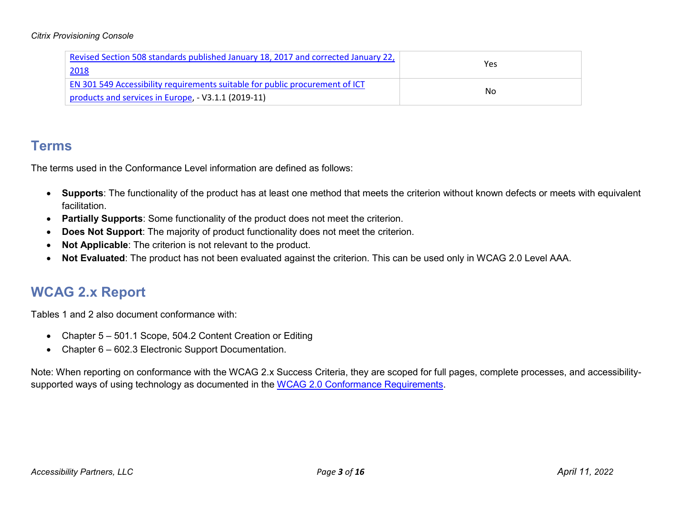#### *Citrix Provisioning Console*

| Revised Section 508 standards published January 18, 2017 and corrected January 22,  |            |
|-------------------------------------------------------------------------------------|------------|
| 2018                                                                                | <b>Yes</b> |
| <b>EN 301 549 Accessibility requirements suitable for public procurement of ICT</b> |            |
| products and services in Europe, $-$ V3.1.1 (2019-11)                               | No         |

#### **Terms**

The terms used in the Conformance Level information are defined as follows:

- **Supports**: The functionality of the product has at least one method that meets the criterion without known defects or meets with equivalent facilitation.
- **Partially Supports**: Some functionality of the product does not meet the criterion.
- **Does Not Support**: The majority of product functionality does not meet the criterion.
- **Not Applicable**: The criterion is not relevant to the product.
- **Not Evaluated**: The product has not been evaluated against the criterion. This can be used only in WCAG 2.0 Level AAA.

# **WCAG 2.x Report**

Tables 1 and 2 also document conformance with:

- Chapter 5 501.1 Scope, 504.2 Content Creation or Editing
- Chapter 6 602.3 Electronic Support Documentation.

Note: When reporting on conformance with the WCAG 2.x Success Criteria, they are scoped for full pages, complete processes, and accessibility-supported ways of using technology as documented in the [WCAG 2.0 Conformance Requirements.](https://www.w3.org/TR/WCAG20/#conformance-reqs)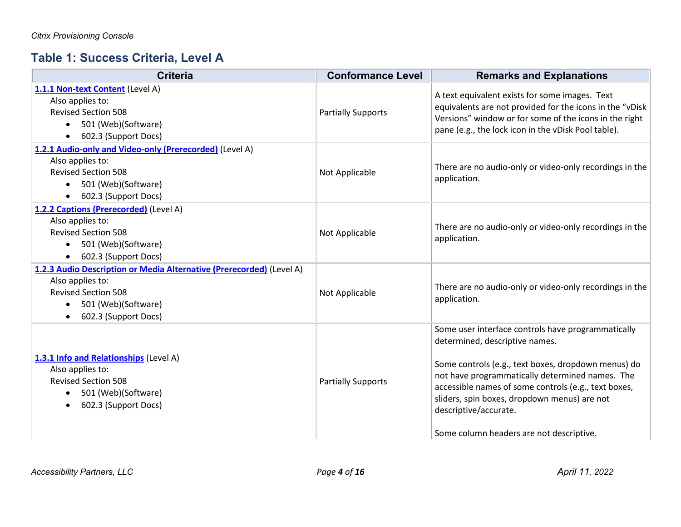## **Table 1: Success Criteria, Level A**

| <b>Criteria</b>                                                                                                                                                                                 | <b>Conformance Level</b>  | <b>Remarks and Explanations</b>                                                                                                                                                                                                                                                                                                                                             |
|-------------------------------------------------------------------------------------------------------------------------------------------------------------------------------------------------|---------------------------|-----------------------------------------------------------------------------------------------------------------------------------------------------------------------------------------------------------------------------------------------------------------------------------------------------------------------------------------------------------------------------|
| 1.1.1 Non-text Content (Level A)<br>Also applies to:<br><b>Revised Section 508</b><br>501 (Web)(Software)<br>$\bullet$<br>602.3 (Support Docs)<br>$\bullet$                                     | <b>Partially Supports</b> | A text equivalent exists for some images. Text<br>equivalents are not provided for the icons in the "vDisk<br>Versions" window or for some of the icons in the right<br>pane (e.g., the lock icon in the vDisk Pool table).                                                                                                                                                 |
| 1.2.1 Audio-only and Video-only (Prerecorded) (Level A)<br>Also applies to:<br><b>Revised Section 508</b><br>501 (Web)(Software)<br>$\bullet$<br>602.3 (Support Docs)<br>$\bullet$              | Not Applicable            | There are no audio-only or video-only recordings in the<br>application.                                                                                                                                                                                                                                                                                                     |
| 1.2.2 Captions (Prerecorded) (Level A)<br>Also applies to:<br><b>Revised Section 508</b><br>501 (Web)(Software)<br>$\bullet$<br>602.3 (Support Docs)<br>$\bullet$                               | Not Applicable            | There are no audio-only or video-only recordings in the<br>application.                                                                                                                                                                                                                                                                                                     |
| 1.2.3 Audio Description or Media Alternative (Prerecorded) (Level A)<br>Also applies to:<br><b>Revised Section 508</b><br>501 (Web)(Software)<br>$\bullet$<br>602.3 (Support Docs)<br>$\bullet$ | Not Applicable            | There are no audio-only or video-only recordings in the<br>application.                                                                                                                                                                                                                                                                                                     |
| 1.3.1 Info and Relationships (Level A)<br>Also applies to:<br><b>Revised Section 508</b><br>501 (Web)(Software)<br>$\bullet$<br>602.3 (Support Docs)<br>$\bullet$                               | <b>Partially Supports</b> | Some user interface controls have programmatically<br>determined, descriptive names.<br>Some controls (e.g., text boxes, dropdown menus) do<br>not have programmatically determined names. The<br>accessible names of some controls (e.g., text boxes,<br>sliders, spin boxes, dropdown menus) are not<br>descriptive/accurate.<br>Some column headers are not descriptive. |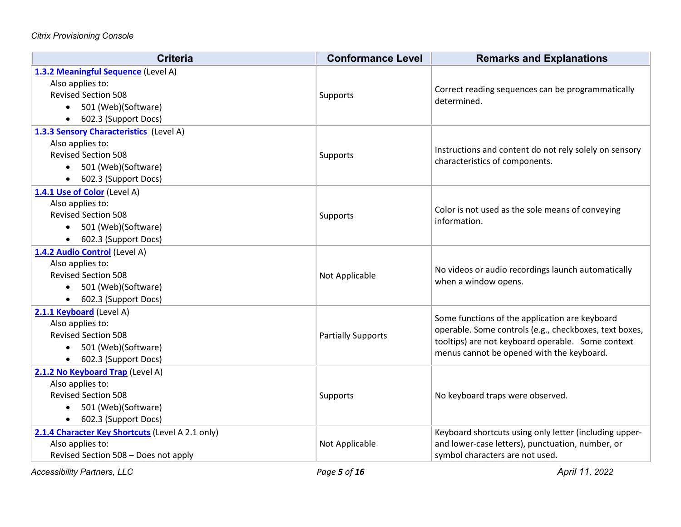| <b>Criteria</b>                                         | <b>Conformance Level</b>  | <b>Remarks and Explanations</b>                                                          |
|---------------------------------------------------------|---------------------------|------------------------------------------------------------------------------------------|
| 1.3.2 Meaningful Sequence (Level A)<br>Also applies to: |                           |                                                                                          |
| <b>Revised Section 508</b>                              | Supports                  | Correct reading sequences can be programmatically                                        |
| 501 (Web)(Software)<br>$\bullet$                        |                           | determined.                                                                              |
| 602.3 (Support Docs)<br>$\bullet$                       |                           |                                                                                          |
| 1.3.3 Sensory Characteristics (Level A)                 |                           |                                                                                          |
| Also applies to:                                        |                           |                                                                                          |
| <b>Revised Section 508</b>                              | Supports                  | Instructions and content do not rely solely on sensory<br>characteristics of components. |
| 501 (Web)(Software)                                     |                           |                                                                                          |
| 602.3 (Support Docs)<br>$\bullet$                       |                           |                                                                                          |
| 1.4.1 Use of Color (Level A)                            |                           |                                                                                          |
| Also applies to:                                        |                           | Color is not used as the sole means of conveying                                         |
| <b>Revised Section 508</b>                              | Supports                  | information.                                                                             |
| • 501 (Web)(Software)                                   |                           |                                                                                          |
| 602.3 (Support Docs)                                    |                           |                                                                                          |
| 1.4.2 Audio Control (Level A)                           |                           |                                                                                          |
| Also applies to:                                        |                           | No videos or audio recordings launch automatically                                       |
| <b>Revised Section 508</b>                              | Not Applicable            | when a window opens.                                                                     |
| 501 (Web)(Software)<br>$\bullet$                        |                           |                                                                                          |
| • 602.3 (Support Docs)                                  |                           |                                                                                          |
| 2.1.1 Keyboard (Level A)                                |                           | Some functions of the application are keyboard                                           |
| Also applies to:                                        |                           | operable. Some controls (e.g., checkboxes, text boxes,                                   |
| <b>Revised Section 508</b>                              | <b>Partially Supports</b> | tooltips) are not keyboard operable. Some context                                        |
| 501 (Web)(Software)<br>$\bullet$                        |                           | menus cannot be opened with the keyboard.                                                |
| 602.3 (Support Docs)                                    |                           |                                                                                          |
| 2.1.2 No Keyboard Trap (Level A)                        |                           |                                                                                          |
| Also applies to:                                        |                           |                                                                                          |
| <b>Revised Section 508</b>                              | Supports                  | No keyboard traps were observed.                                                         |
| 501 (Web)(Software)<br>$\bullet$                        |                           |                                                                                          |
| 602.3 (Support Docs)<br>$\bullet$                       |                           |                                                                                          |
| 2.1.4 Character Key Shortcuts (Level A 2.1 only)        |                           | Keyboard shortcuts using only letter (including upper-                                   |
| Also applies to:                                        | Not Applicable            | and lower-case letters), punctuation, number, or                                         |
| Revised Section 508 - Does not apply                    |                           | symbol characters are not used.                                                          |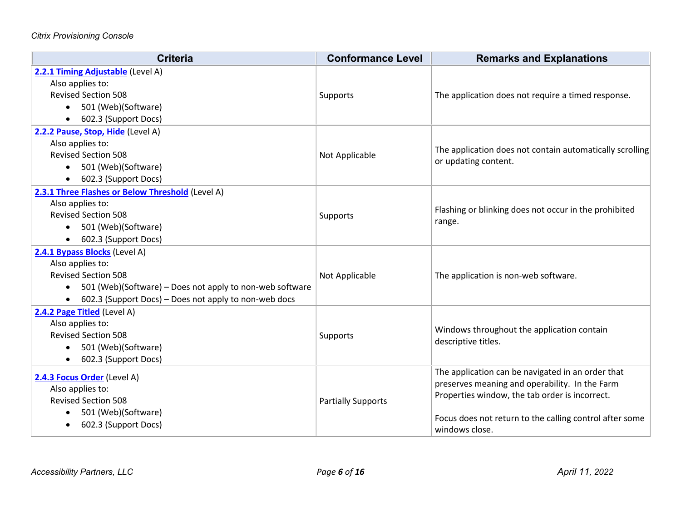| <b>Criteria</b>                                                                                                                                                                                                                | <b>Conformance Level</b>  | <b>Remarks and Explanations</b>                                                                                                                                                                                                    |
|--------------------------------------------------------------------------------------------------------------------------------------------------------------------------------------------------------------------------------|---------------------------|------------------------------------------------------------------------------------------------------------------------------------------------------------------------------------------------------------------------------------|
| 2.2.1 Timing Adjustable (Level A)<br>Also applies to:<br><b>Revised Section 508</b><br>501 (Web)(Software)<br>$\bullet$<br>602.3 (Support Docs)<br>$\bullet$                                                                   | Supports                  | The application does not require a timed response.                                                                                                                                                                                 |
| 2.2.2 Pause, Stop, Hide (Level A)<br>Also applies to:<br><b>Revised Section 508</b><br>501 (Web)(Software)<br>$\bullet$<br>602.3 (Support Docs)                                                                                | Not Applicable            | The application does not contain automatically scrolling<br>or updating content.                                                                                                                                                   |
| 2.3.1 Three Flashes or Below Threshold (Level A)<br>Also applies to:<br><b>Revised Section 508</b><br>501 (Web)(Software)<br>602.3 (Support Docs)                                                                              | Supports                  | Flashing or blinking does not occur in the prohibited<br>range.                                                                                                                                                                    |
| 2.4.1 Bypass Blocks (Level A)<br>Also applies to:<br><b>Revised Section 508</b><br>501 (Web)(Software) - Does not apply to non-web software<br>$\bullet$<br>602.3 (Support Docs) - Does not apply to non-web docs<br>$\bullet$ | Not Applicable            | The application is non-web software.                                                                                                                                                                                               |
| 2.4.2 Page Titled (Level A)<br>Also applies to:<br><b>Revised Section 508</b><br>501 (Web)(Software)<br>$\bullet$<br>602.3 (Support Docs)                                                                                      | Supports                  | Windows throughout the application contain<br>descriptive titles.                                                                                                                                                                  |
| 2.4.3 Focus Order (Level A)<br>Also applies to:<br><b>Revised Section 508</b><br>501 (Web)(Software)<br>602.3 (Support Docs)                                                                                                   | <b>Partially Supports</b> | The application can be navigated in an order that<br>preserves meaning and operability. In the Farm<br>Properties window, the tab order is incorrect.<br>Focus does not return to the calling control after some<br>windows close. |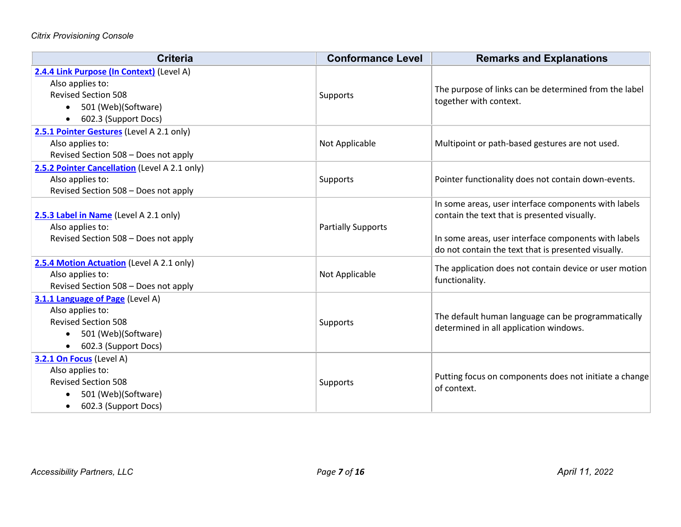| <b>Criteria</b>                                                                                                                                         | <b>Conformance Level</b>  | <b>Remarks and Explanations</b>                                                                                                                                                                                     |
|---------------------------------------------------------------------------------------------------------------------------------------------------------|---------------------------|---------------------------------------------------------------------------------------------------------------------------------------------------------------------------------------------------------------------|
| 2.4.4 Link Purpose (In Context) (Level A)<br>Also applies to:<br><b>Revised Section 508</b><br>501 (Web)(Software)<br>$\bullet$<br>602.3 (Support Docs) | Supports                  | The purpose of links can be determined from the label<br>together with context.                                                                                                                                     |
| 2.5.1 Pointer Gestures (Level A 2.1 only)<br>Also applies to:<br>Revised Section 508 - Does not apply                                                   | Not Applicable            | Multipoint or path-based gestures are not used.                                                                                                                                                                     |
| 2.5.2 Pointer Cancellation (Level A 2.1 only)<br>Also applies to:<br>Revised Section 508 - Does not apply                                               | Supports                  | Pointer functionality does not contain down-events.                                                                                                                                                                 |
| 2.5.3 Label in Name (Level A 2.1 only)<br>Also applies to:<br>Revised Section 508 - Does not apply                                                      | <b>Partially Supports</b> | In some areas, user interface components with labels<br>contain the text that is presented visually.<br>In some areas, user interface components with labels<br>do not contain the text that is presented visually. |
| 2.5.4 Motion Actuation (Level A 2.1 only)<br>Also applies to:<br>Revised Section 508 - Does not apply                                                   | Not Applicable            | The application does not contain device or user motion<br>functionality.                                                                                                                                            |
| 3.1.1 Language of Page (Level A)<br>Also applies to:<br><b>Revised Section 508</b><br>501 (Web)(Software)<br>$\bullet$<br>602.3 (Support Docs)          | Supports                  | The default human language can be programmatically<br>determined in all application windows.                                                                                                                        |
| 3.2.1 On Focus (Level A)<br>Also applies to:<br><b>Revised Section 508</b><br>501 (Web)(Software)<br>602.3 (Support Docs)                               | Supports                  | Putting focus on components does not initiate a change<br>of context.                                                                                                                                               |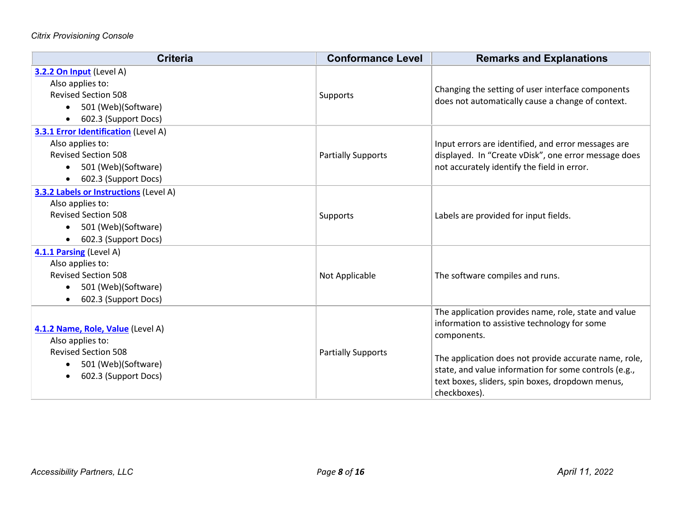| <b>Criteria</b>                                                                                                                                                          | <b>Conformance Level</b>  | <b>Remarks and Explanations</b>                                                                                                                                                                                                                                                                           |
|--------------------------------------------------------------------------------------------------------------------------------------------------------------------------|---------------------------|-----------------------------------------------------------------------------------------------------------------------------------------------------------------------------------------------------------------------------------------------------------------------------------------------------------|
| 3.2.2 On Input (Level A)<br>Also applies to:<br><b>Revised Section 508</b><br>501 (Web)(Software)<br>$\bullet$<br>602.3 (Support Docs)<br>$\bullet$                      | Supports                  | Changing the setting of user interface components<br>does not automatically cause a change of context.                                                                                                                                                                                                    |
| <b>3.3.1 Error Identification</b> (Level A)<br>Also applies to:<br><b>Revised Section 508</b><br>501 (Web)(Software)<br>$\bullet$<br>602.3 (Support Docs)<br>$\bullet$   | <b>Partially Supports</b> | Input errors are identified, and error messages are<br>displayed. In "Create vDisk", one error message does<br>not accurately identify the field in error.                                                                                                                                                |
| <b>3.3.2 Labels or Instructions (Level A)</b><br>Also applies to:<br><b>Revised Section 508</b><br>501 (Web)(Software)<br>$\bullet$<br>602.3 (Support Docs)<br>$\bullet$ | Supports                  | Labels are provided for input fields.                                                                                                                                                                                                                                                                     |
| 4.1.1 Parsing (Level A)<br>Also applies to:<br><b>Revised Section 508</b><br>501 (Web)(Software)<br>$\bullet$<br>602.3 (Support Docs)<br>$\bullet$                       | Not Applicable            | The software compiles and runs.                                                                                                                                                                                                                                                                           |
| 4.1.2 Name, Role, Value (Level A)<br>Also applies to:<br><b>Revised Section 508</b><br>501 (Web)(Software)<br>$\bullet$<br>602.3 (Support Docs)<br>$\bullet$             | <b>Partially Supports</b> | The application provides name, role, state and value<br>information to assistive technology for some<br>components.<br>The application does not provide accurate name, role,<br>state, and value information for some controls (e.g.,<br>text boxes, sliders, spin boxes, dropdown menus,<br>checkboxes). |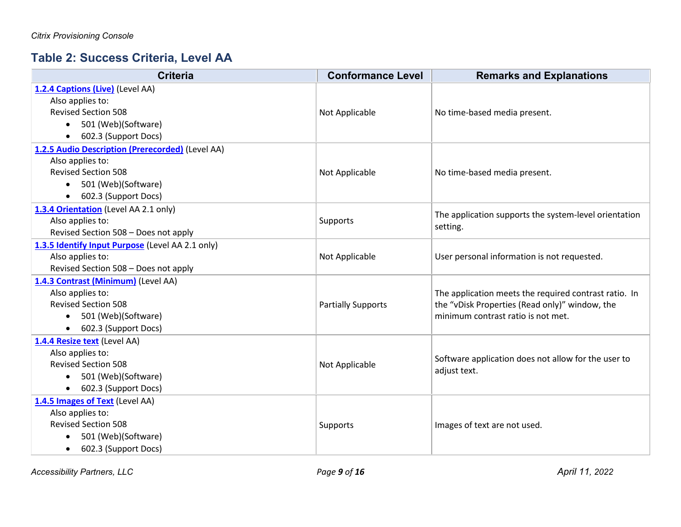## **Table 2: Success Criteria, Level AA**

| <b>Criteria</b>                                  | <b>Conformance Level</b>  | <b>Remarks and Explanations</b>                       |
|--------------------------------------------------|---------------------------|-------------------------------------------------------|
| 1.2.4 Captions (Live) (Level AA)                 |                           |                                                       |
| Also applies to:                                 |                           |                                                       |
| <b>Revised Section 508</b>                       | Not Applicable            | No time-based media present.                          |
| 501 (Web)(Software)<br>$\bullet$                 |                           |                                                       |
| 602.3 (Support Docs)<br>$\bullet$                |                           |                                                       |
| 1.2.5 Audio Description (Prerecorded) (Level AA) |                           |                                                       |
| Also applies to:                                 |                           |                                                       |
| <b>Revised Section 508</b>                       | Not Applicable            | No time-based media present.                          |
| 501 (Web)(Software)<br>$\bullet$                 |                           |                                                       |
| 602.3 (Support Docs)                             |                           |                                                       |
| 1.3.4 Orientation (Level AA 2.1 only)            |                           | The application supports the system-level orientation |
| Also applies to:                                 | Supports                  | setting.                                              |
| Revised Section 508 - Does not apply             |                           |                                                       |
| 1.3.5 Identify Input Purpose (Level AA 2.1 only) |                           |                                                       |
| Also applies to:                                 | Not Applicable            | User personal information is not requested.           |
| Revised Section 508 - Does not apply             |                           |                                                       |
| 1.4.3 Contrast (Minimum) (Level AA)              |                           |                                                       |
| Also applies to:                                 |                           | The application meets the required contrast ratio. In |
| <b>Revised Section 508</b>                       | <b>Partially Supports</b> | the "vDisk Properties (Read only)" window, the        |
| 501 (Web)(Software)<br>$\bullet$                 |                           | minimum contrast ratio is not met.                    |
| 602.3 (Support Docs)<br>$\bullet$                |                           |                                                       |
| 1.4.4 Resize text (Level AA)                     |                           |                                                       |
| Also applies to:                                 |                           | Software application does not allow for the user to   |
| <b>Revised Section 508</b>                       | Not Applicable            | adjust text.                                          |
| 501 (Web)(Software)<br>$\bullet$                 |                           |                                                       |
| 602.3 (Support Docs)<br>$\bullet$                |                           |                                                       |
| 1.4.5 Images of Text (Level AA)                  |                           |                                                       |
| Also applies to:                                 |                           |                                                       |
| <b>Revised Section 508</b>                       | Supports                  | Images of text are not used.                          |
| 501 (Web)(Software)<br>$\bullet$                 |                           |                                                       |
| 602.3 (Support Docs)<br>$\bullet$                |                           |                                                       |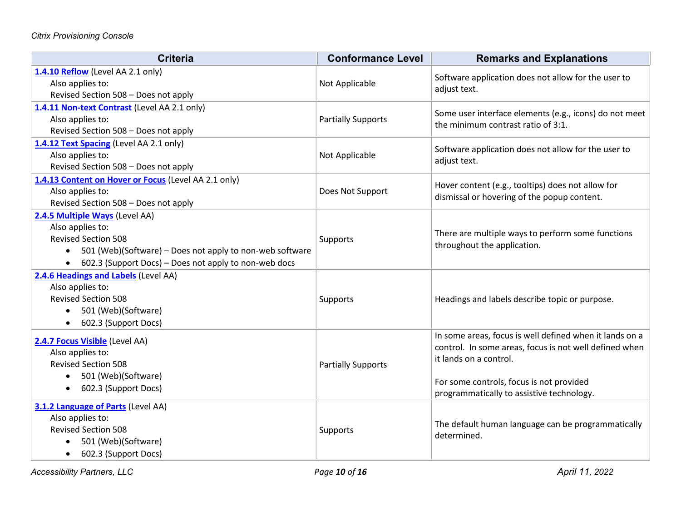| <b>Criteria</b>                                                                                                                                                                                                                 | <b>Conformance Level</b>  | <b>Remarks and Explanations</b>                                                                                                                                                                                                      |
|---------------------------------------------------------------------------------------------------------------------------------------------------------------------------------------------------------------------------------|---------------------------|--------------------------------------------------------------------------------------------------------------------------------------------------------------------------------------------------------------------------------------|
| 1.4.10 Reflow (Level AA 2.1 only)<br>Also applies to:<br>Revised Section 508 - Does not apply                                                                                                                                   | Not Applicable            | Software application does not allow for the user to<br>adjust text.                                                                                                                                                                  |
| 1.4.11 Non-text Contrast (Level AA 2.1 only)<br>Also applies to:<br>Revised Section 508 - Does not apply                                                                                                                        | <b>Partially Supports</b> | Some user interface elements (e.g., icons) do not meet<br>the minimum contrast ratio of 3:1.                                                                                                                                         |
| 1.4.12 Text Spacing (Level AA 2.1 only)<br>Also applies to:<br>Revised Section 508 - Does not apply                                                                                                                             | Not Applicable            | Software application does not allow for the user to<br>adjust text.                                                                                                                                                                  |
| 1.4.13 Content on Hover or Focus (Level AA 2.1 only)<br>Also applies to:<br>Revised Section 508 - Does not apply                                                                                                                | Does Not Support          | Hover content (e.g., tooltips) does not allow for<br>dismissal or hovering of the popup content.                                                                                                                                     |
| 2.4.5 Multiple Ways (Level AA)<br>Also applies to:<br><b>Revised Section 508</b><br>501 (Web)(Software) - Does not apply to non-web software<br>$\bullet$<br>602.3 (Support Docs) - Does not apply to non-web docs<br>$\bullet$ | Supports                  | There are multiple ways to perform some functions<br>throughout the application.                                                                                                                                                     |
| 2.4.6 Headings and Labels (Level AA)<br>Also applies to:<br><b>Revised Section 508</b><br>501 (Web)(Software)<br>$\bullet$<br>602.3 (Support Docs)<br>$\bullet$                                                                 | Supports                  | Headings and labels describe topic or purpose.                                                                                                                                                                                       |
| 2.4.7 Focus Visible (Level AA)<br>Also applies to:<br><b>Revised Section 508</b><br>501 (Web)(Software)<br>$\bullet$<br>602.3 (Support Docs)<br>$\bullet$                                                                       | <b>Partially Supports</b> | In some areas, focus is well defined when it lands on a<br>control. In some areas, focus is not well defined when<br>it lands on a control.<br>For some controls, focus is not provided<br>programmatically to assistive technology. |
| 3.1.2 Language of Parts (Level AA)<br>Also applies to:<br><b>Revised Section 508</b><br>501 (Web)(Software)<br>602.3 (Support Docs)<br>$\bullet$                                                                                | Supports                  | The default human language can be programmatically<br>determined.                                                                                                                                                                    |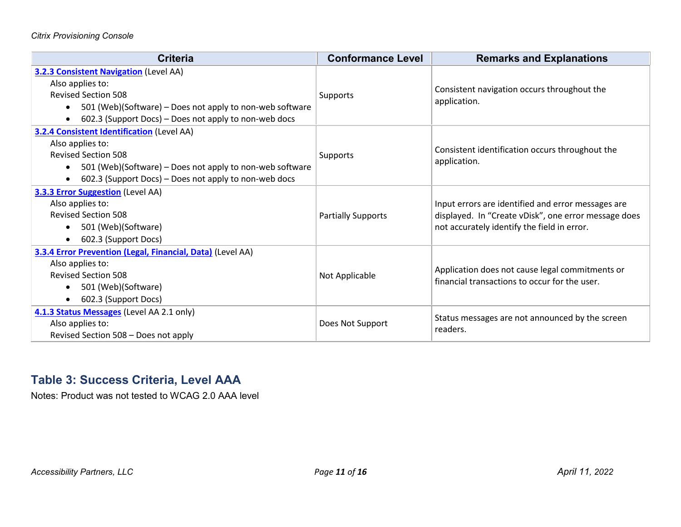| <b>Criteria</b>                                                                                                                                                                                                                                    | <b>Conformance Level</b>  | <b>Remarks and Explanations</b>                                                                                                                           |
|----------------------------------------------------------------------------------------------------------------------------------------------------------------------------------------------------------------------------------------------------|---------------------------|-----------------------------------------------------------------------------------------------------------------------------------------------------------|
| <b>3.2.3 Consistent Navigation (Level AA)</b><br>Also applies to:<br><b>Revised Section 508</b><br>501 (Web)(Software) – Does not apply to non-web software<br>$\bullet$<br>602.3 (Support Docs) – Does not apply to non-web docs<br>$\bullet$     | Supports                  | Consistent navigation occurs throughout the<br>application.                                                                                               |
| <b>3.2.4 Consistent Identification (Level AA)</b><br>Also applies to:<br><b>Revised Section 508</b><br>501 (Web)(Software) - Does not apply to non-web software<br>$\bullet$<br>602.3 (Support Docs) – Does not apply to non-web docs<br>$\bullet$ | Supports                  | Consistent identification occurs throughout the<br>application.                                                                                           |
| <b>3.3.3 Error Suggestion</b> (Level AA)<br>Also applies to:<br><b>Revised Section 508</b><br>501 (Web)(Software)<br>$\bullet$<br>602.3 (Support Docs)<br>$\bullet$                                                                                | <b>Partially Supports</b> | Input errors are identified and error messages are<br>displayed. In "Create vDisk", one error message does<br>not accurately identify the field in error. |
| 3.3.4 Error Prevention (Legal, Financial, Data) (Level AA)<br>Also applies to:<br><b>Revised Section 508</b><br>501 (Web)(Software)<br>$\bullet$<br>602.3 (Support Docs)<br>$\bullet$                                                              | Not Applicable            | Application does not cause legal commitments or<br>financial transactions to occur for the user.                                                          |
| 4.1.3 Status Messages (Level AA 2.1 only)<br>Also applies to:<br>Revised Section 508 - Does not apply                                                                                                                                              | Does Not Support          | Status messages are not announced by the screen<br>readers.                                                                                               |

#### **Table 3: Success Criteria, Level AAA**

Notes: Product was not tested to WCAG 2.0 AAA level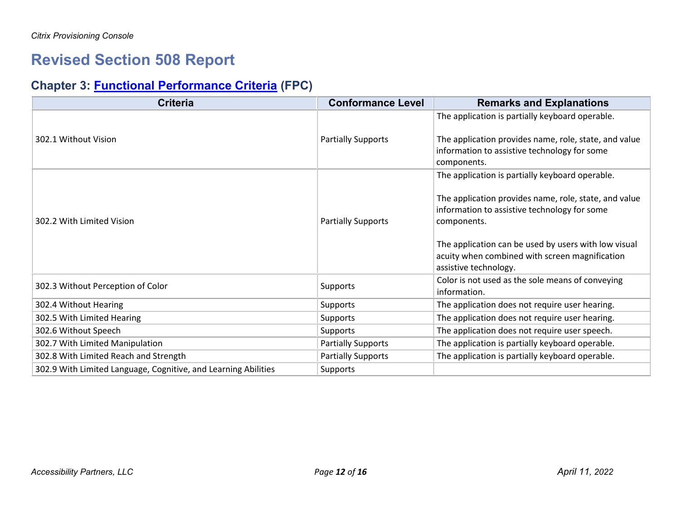# **Revised Section 508 Report**

# **Chapter 3: [Functional Performance Criteria](https://www.access-board.gov/guidelines-and-standards/communications-and-it/about-the-ict-refresh/final-rule/text-of-the-standards-and-guidelines#302-functional-performance-criteria) (FPC)**

| <b>Criteria</b>                                                | <b>Conformance Level</b>  | <b>Remarks and Explanations</b>                                                                                                 |
|----------------------------------------------------------------|---------------------------|---------------------------------------------------------------------------------------------------------------------------------|
| 302.1 Without Vision                                           | <b>Partially Supports</b> | The application is partially keyboard operable.<br>The application provides name, role, state, and value                        |
|                                                                |                           | information to assistive technology for some<br>components.                                                                     |
|                                                                |                           | The application is partially keyboard operable.                                                                                 |
| 302.2 With Limited Vision                                      | <b>Partially Supports</b> | The application provides name, role, state, and value<br>information to assistive technology for some<br>components.            |
|                                                                |                           | The application can be used by users with low visual<br>acuity when combined with screen magnification<br>assistive technology. |
| 302.3 Without Perception of Color                              | Supports                  | Color is not used as the sole means of conveying<br>information.                                                                |
| 302.4 Without Hearing                                          | Supports                  | The application does not require user hearing.                                                                                  |
| 302.5 With Limited Hearing                                     | Supports                  | The application does not require user hearing.                                                                                  |
| 302.6 Without Speech                                           | Supports                  | The application does not require user speech.                                                                                   |
| 302.7 With Limited Manipulation                                | <b>Partially Supports</b> | The application is partially keyboard operable.                                                                                 |
| 302.8 With Limited Reach and Strength                          | <b>Partially Supports</b> | The application is partially keyboard operable.                                                                                 |
| 302.9 With Limited Language, Cognitive, and Learning Abilities | Supports                  |                                                                                                                                 |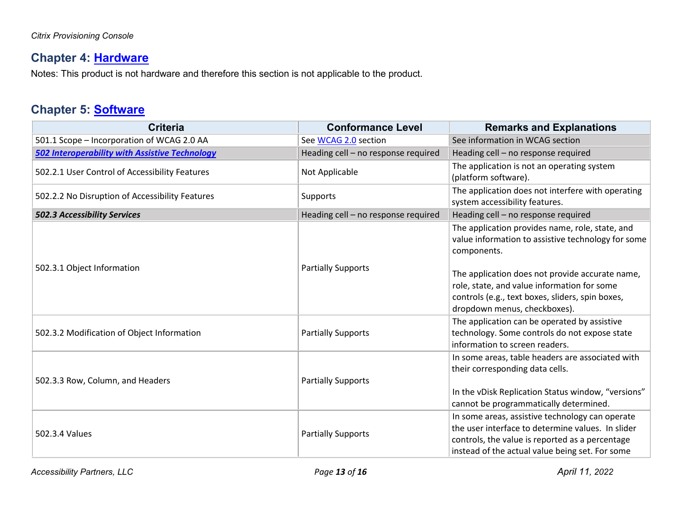# **Chapter 4: [Hardware](https://www.access-board.gov/guidelines-and-standards/communications-and-it/about-the-ict-refresh/final-rule/text-of-the-standards-and-guidelines#401-general)**

Notes: This product is not hardware and therefore this section is not applicable to the product.

#### **Chapter 5: [Software](https://www.access-board.gov/guidelines-and-standards/communications-and-it/about-the-ict-refresh/final-rule/text-of-the-standards-and-guidelines#501-general)**

| <b>Criteria</b>                                       | <b>Conformance Level</b>            | <b>Remarks and Explanations</b>                                                                                                                                                                                                                                                                            |
|-------------------------------------------------------|-------------------------------------|------------------------------------------------------------------------------------------------------------------------------------------------------------------------------------------------------------------------------------------------------------------------------------------------------------|
| 501.1 Scope - Incorporation of WCAG 2.0 AA            | See WCAG 2.0 section                | See information in WCAG section                                                                                                                                                                                                                                                                            |
| <b>502 Interoperability with Assistive Technology</b> | Heading cell - no response required | Heading cell - no response required                                                                                                                                                                                                                                                                        |
| 502.2.1 User Control of Accessibility Features        | Not Applicable                      | The application is not an operating system<br>(platform software).                                                                                                                                                                                                                                         |
| 502.2.2 No Disruption of Accessibility Features       | Supports                            | The application does not interfere with operating<br>system accessibility features.                                                                                                                                                                                                                        |
| <b>502.3 Accessibility Services</b>                   | Heading cell - no response required | Heading cell - no response required                                                                                                                                                                                                                                                                        |
| 502.3.1 Object Information                            | <b>Partially Supports</b>           | The application provides name, role, state, and<br>value information to assistive technology for some<br>components.<br>The application does not provide accurate name,<br>role, state, and value information for some<br>controls (e.g., text boxes, sliders, spin boxes,<br>dropdown menus, checkboxes). |
| 502.3.2 Modification of Object Information            | <b>Partially Supports</b>           | The application can be operated by assistive<br>technology. Some controls do not expose state<br>information to screen readers.                                                                                                                                                                            |
| 502.3.3 Row, Column, and Headers                      | <b>Partially Supports</b>           | In some areas, table headers are associated with<br>their corresponding data cells.<br>In the vDisk Replication Status window, "versions"<br>cannot be programmatically determined.                                                                                                                        |
| 502.3.4 Values                                        | <b>Partially Supports</b>           | In some areas, assistive technology can operate<br>the user interface to determine values. In slider<br>controls, the value is reported as a percentage<br>instead of the actual value being set. For some                                                                                                 |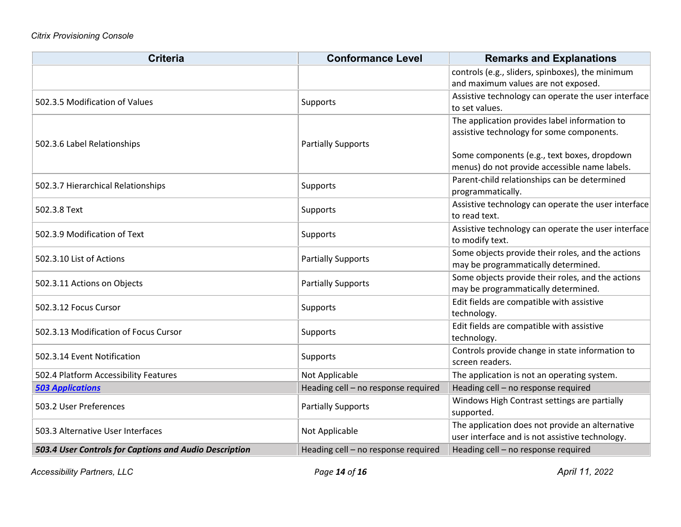| <b>Criteria</b>                                        | <b>Conformance Level</b>            | <b>Remarks and Explanations</b>                                        |
|--------------------------------------------------------|-------------------------------------|------------------------------------------------------------------------|
|                                                        |                                     | controls (e.g., sliders, spinboxes), the minimum                       |
|                                                        |                                     | and maximum values are not exposed.                                    |
| 502.3.5 Modification of Values                         | Supports                            | Assistive technology can operate the user interface                    |
|                                                        |                                     | to set values.                                                         |
| 502.3.6 Label Relationships                            |                                     | The application provides label information to                          |
|                                                        |                                     | assistive technology for some components.                              |
|                                                        | <b>Partially Supports</b>           |                                                                        |
|                                                        |                                     | Some components (e.g., text boxes, dropdown                            |
|                                                        |                                     | menus) do not provide accessible name labels.                          |
| 502.3.7 Hierarchical Relationships                     | Supports                            | Parent-child relationships can be determined                           |
|                                                        |                                     | programmatically.                                                      |
| 502.3.8 Text                                           | <b>Supports</b>                     | Assistive technology can operate the user interface<br>to read text.   |
|                                                        |                                     |                                                                        |
| 502.3.9 Modification of Text                           | <b>Supports</b>                     | Assistive technology can operate the user interface<br>to modify text. |
| 502.3.10 List of Actions                               | <b>Partially Supports</b>           | Some objects provide their roles, and the actions                      |
|                                                        |                                     | may be programmatically determined.                                    |
|                                                        |                                     | Some objects provide their roles, and the actions                      |
| 502.3.11 Actions on Objects                            | <b>Partially Supports</b>           | may be programmatically determined.                                    |
|                                                        |                                     | Edit fields are compatible with assistive                              |
| 502.3.12 Focus Cursor                                  | <b>Supports</b>                     | technology.                                                            |
|                                                        |                                     | Edit fields are compatible with assistive                              |
| 502.3.13 Modification of Focus Cursor                  | <b>Supports</b>                     | technology.                                                            |
|                                                        | <b>Supports</b>                     | Controls provide change in state information to                        |
| 502.3.14 Event Notification                            |                                     | screen readers.                                                        |
| 502.4 Platform Accessibility Features                  | Not Applicable                      | The application is not an operating system.                            |
| <b>503 Applications</b>                                | Heading cell - no response required | Heading cell - no response required                                    |
| 503.2 User Preferences                                 | <b>Partially Supports</b>           | Windows High Contrast settings are partially                           |
|                                                        |                                     | supported.                                                             |
| 503.3 Alternative User Interfaces                      | Not Applicable                      | The application does not provide an alternative                        |
|                                                        |                                     | user interface and is not assistive technology.                        |
| 503.4 User Controls for Captions and Audio Description | Heading cell - no response required | Heading cell - no response required                                    |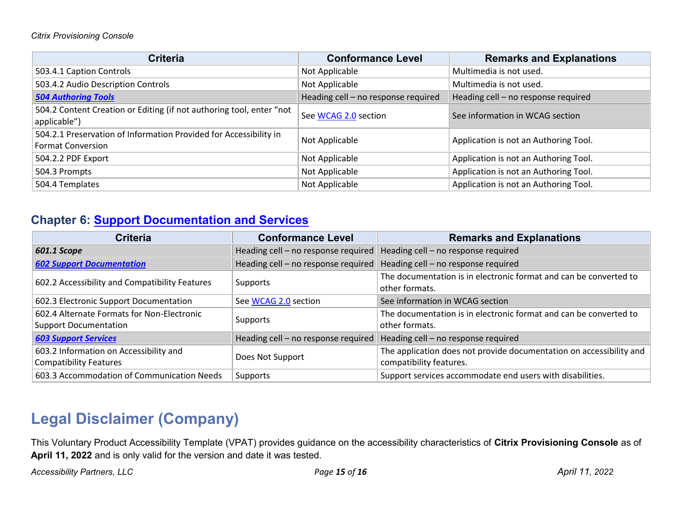| <b>Criteria</b>                                                                               | <b>Conformance Level</b>            | <b>Remarks and Explanations</b>       |
|-----------------------------------------------------------------------------------------------|-------------------------------------|---------------------------------------|
| 503.4.1 Caption Controls                                                                      | Not Applicable                      | Multimedia is not used.               |
| 503.4.2 Audio Description Controls                                                            | Not Applicable                      | Multimedia is not used.               |
| <b>504 Authoring Tools</b>                                                                    | Heading cell - no response required | Heading cell - no response required   |
| 504.2 Content Creation or Editing (if not authoring tool, enter "not<br>applicable")          | See WCAG 2.0 section                | See information in WCAG section       |
| 504.2.1 Preservation of Information Provided for Accessibility in<br><b>Format Conversion</b> | Not Applicable                      | Application is not an Authoring Tool. |
| 504.2.2 PDF Export                                                                            | Not Applicable                      | Application is not an Authoring Tool. |
| 504.3 Prompts                                                                                 | Not Applicable                      | Application is not an Authoring Tool. |
| 504.4 Templates                                                                               | Not Applicable                      | Application is not an Authoring Tool. |

#### **Chapter 6: [Support Documentation and Services](https://www.access-board.gov/guidelines-and-standards/communications-and-it/about-the-ict-refresh/final-rule/text-of-the-standards-and-guidelines#601-general)**

| <b>Criteria</b>                                                            | <b>Conformance Level</b>            | <b>Remarks and Explanations</b>                                                                |
|----------------------------------------------------------------------------|-------------------------------------|------------------------------------------------------------------------------------------------|
| 601.1 Scope                                                                | Heading cell - no response required | Heading cell - no response required                                                            |
| <b>602 Support Documentation</b>                                           | Heading cell - no response required | Heading cell - no response required                                                            |
| 602.2 Accessibility and Compatibility Features                             | Supports                            | The documentation is in electronic format and can be converted to<br>other formats.            |
| 602.3 Electronic Support Documentation                                     | See WCAG 2.0 section                | See information in WCAG section                                                                |
| 602.4 Alternate Formats for Non-Electronic<br><b>Support Documentation</b> | Supports                            | The documentation is in electronic format and can be converted to<br>other formats.            |
| <b>603 Support Services</b>                                                | Heading cell - no response required | Heading cell - no response required                                                            |
| 603.2 Information on Accessibility and<br><b>Compatibility Features</b>    | Does Not Support                    | The application does not provide documentation on accessibility and<br>compatibility features. |
| 603.3 Accommodation of Communication Needs                                 | Supports                            | Support services accommodate end users with disabilities.                                      |

# **Legal Disclaimer (Company)**

This Voluntary Product Accessibility Template (VPAT) provides guidance on the accessibility characteristics of **Citrix Provisioning Console** as of **April 11, 2022** and is only valid for the version and date it was tested.

*Accessibility Partners, LLC Page 15 of 16 April 11, 2022*